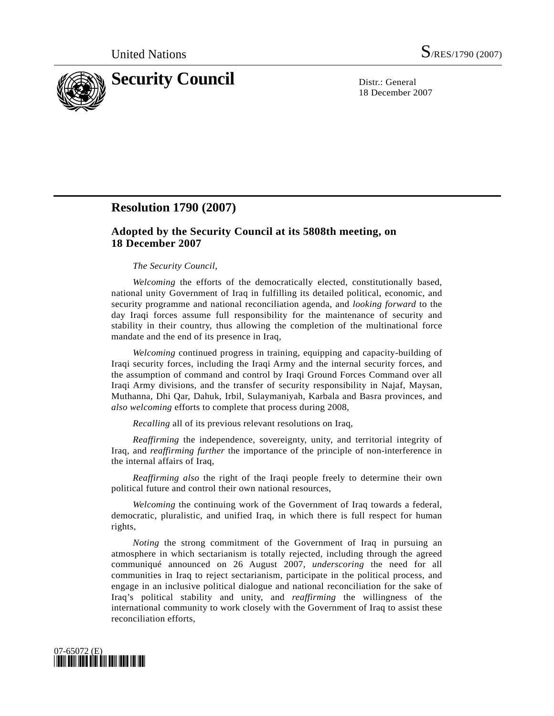

18 December 2007

# **Resolution 1790 (2007)**

## **Adopted by the Security Council at its 5808th meeting, on 18 December 2007**

#### *The Security Council*,

*Welcoming* the efforts of the democratically elected, constitutionally based, national unity Government of Iraq in fulfilling its detailed political, economic, and security programme and national reconciliation agenda, and *looking forward* to the day Iraqi forces assume full responsibility for the maintenance of security and stability in their country, thus allowing the completion of the multinational force mandate and the end of its presence in Iraq,

*Welcoming* continued progress in training, equipping and capacity-building of Iraqi security forces, including the Iraqi Army and the internal security forces, and the assumption of command and control by Iraqi Ground Forces Command over all Iraqi Army divisions, and the transfer of security responsibility in Najaf, Maysan, Muthanna, Dhi Qar, Dahuk, Irbil, Sulaymaniyah, Karbala and Basra provinces, and *also welcoming* efforts to complete that process during 2008,

*Recalling* all of its previous relevant resolutions on Iraq,

*Reaffirming* the independence, sovereignty, unity, and territorial integrity of Iraq, and *reaffirming further* the importance of the principle of non-interference in the internal affairs of Iraq,

*Reaffirming also* the right of the Iraqi people freely to determine their own political future and control their own national resources,

*Welcoming* the continuing work of the Government of Iraq towards a federal, democratic, pluralistic, and unified Iraq, in which there is full respect for human rights,

*Noting* the strong commitment of the Government of Iraq in pursuing an atmosphere in which sectarianism is totally rejected, including through the agreed communiqué announced on 26 August 2007, *underscoring* the need for all communities in Iraq to reject sectarianism, participate in the political process, and engage in an inclusive political dialogue and national reconciliation for the sake of Iraq's political stability and unity, and *reaffirming* the willingness of the international community to work closely with the Government of Iraq to assist these reconciliation efforts,

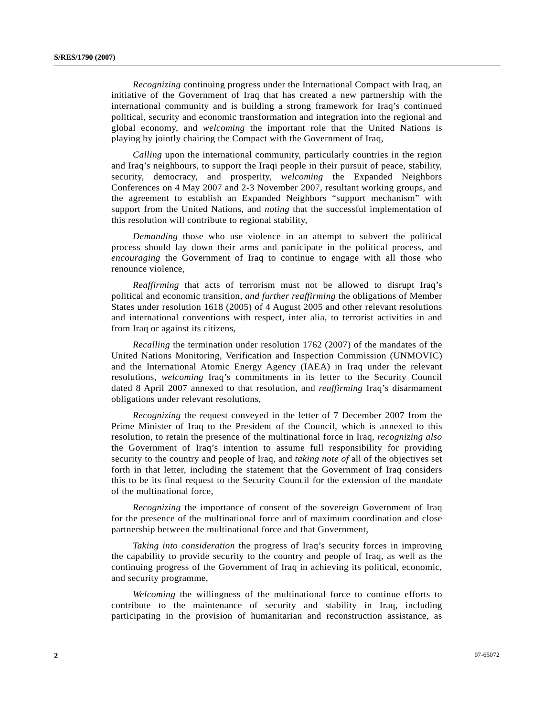*Recognizing* continuing progress under the International Compact with Iraq, an initiative of the Government of Iraq that has created a new partnership with the international community and is building a strong framework for Iraq's continued political, security and economic transformation and integration into the regional and global economy, and *welcoming* the important role that the United Nations is playing by jointly chairing the Compact with the Government of Iraq,

*Calling* upon the international community, particularly countries in the region and Iraq's neighbours, to support the Iraqi people in their pursuit of peace, stability, security, democracy, and prosperity, *welcoming* the Expanded Neighbors Conferences on 4 May 2007 and 2-3 November 2007, resultant working groups, and the agreement to establish an Expanded Neighbors "support mechanism" with support from the United Nations, and *noting* that the successful implementation of this resolution will contribute to regional stability,

*Demanding* those who use violence in an attempt to subvert the political process should lay down their arms and participate in the political process, and *encouraging* the Government of Iraq to continue to engage with all those who renounce violence,

*Reaffirming* that acts of terrorism must not be allowed to disrupt Iraq's political and economic transition, *and further reaffirming* the obligations of Member States under resolution 1618 (2005) of 4 August 2005 and other relevant resolutions and international conventions with respect, inter alia, to terrorist activities in and from Iraq or against its citizens,

*Recalling* the termination under resolution 1762 (2007) of the mandates of the United Nations Monitoring, Verification and Inspection Commission (UNMOVIC) and the International Atomic Energy Agency (IAEA) in Iraq under the relevant resolutions, *welcoming* Iraq's commitments in its letter to the Security Council dated 8 April 2007 annexed to that resolution, and *reaffirming* Iraq's disarmament obligations under relevant resolutions,

*Recognizing* the request conveyed in the letter of 7 December 2007 from the Prime Minister of Iraq to the President of the Council, which is annexed to this resolution, to retain the presence of the multinational force in Iraq, *recognizing also* the Government of Iraq's intention to assume full responsibility for providing security to the country and people of Iraq, and *taking note of* all of the objectives set forth in that letter, including the statement that the Government of Iraq considers this to be its final request to the Security Council for the extension of the mandate of the multinational force,

*Recognizing* the importance of consent of the sovereign Government of Iraq for the presence of the multinational force and of maximum coordination and close partnership between the multinational force and that Government,

*Taking into consideration* the progress of Iraq's security forces in improving the capability to provide security to the country and people of Iraq, as well as the continuing progress of the Government of Iraq in achieving its political, economic, and security programme,

*Welcoming* the willingness of the multinational force to continue efforts to contribute to the maintenance of security and stability in Iraq, including participating in the provision of humanitarian and reconstruction assistance, as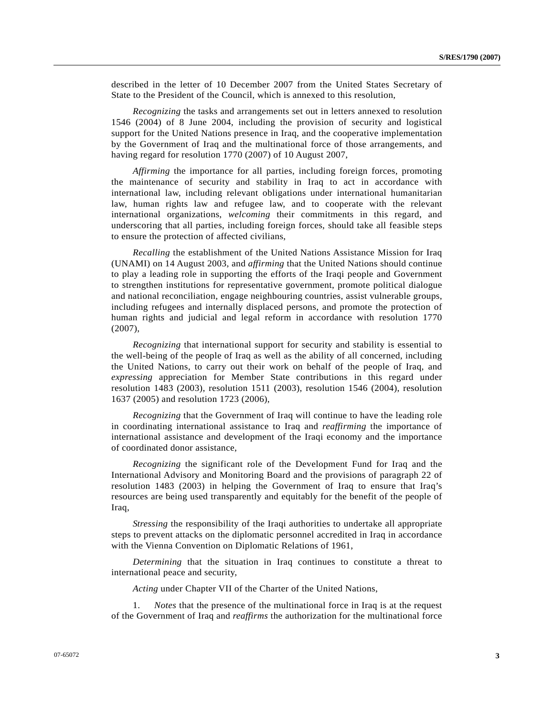described in the letter of 10 December 2007 from the United States Secretary of State to the President of the Council, which is annexed to this resolution,

*Recognizing* the tasks and arrangements set out in letters annexed to resolution 1546 (2004) of 8 June 2004, including the provision of security and logistical support for the United Nations presence in Iraq, and the cooperative implementation by the Government of Iraq and the multinational force of those arrangements, and having regard for resolution 1770 (2007) of 10 August 2007,

*Affirming* the importance for all parties, including foreign forces, promoting the maintenance of security and stability in Iraq to act in accordance with international law, including relevant obligations under international humanitarian law, human rights law and refugee law, and to cooperate with the relevant international organizations, *welcoming* their commitments in this regard, and underscoring that all parties, including foreign forces, should take all feasible steps to ensure the protection of affected civilians,

*Recalling* the establishment of the United Nations Assistance Mission for Iraq (UNAMI) on 14 August 2003, and *affirming* that the United Nations should continue to play a leading role in supporting the efforts of the Iraqi people and Government to strengthen institutions for representative government, promote political dialogue and national reconciliation, engage neighbouring countries, assist vulnerable groups, including refugees and internally displaced persons, and promote the protection of human rights and judicial and legal reform in accordance with resolution 1770 (2007),

*Recognizing* that international support for security and stability is essential to the well-being of the people of Iraq as well as the ability of all concerned, including the United Nations, to carry out their work on behalf of the people of Iraq, and *expressing* appreciation for Member State contributions in this regard under resolution 1483 (2003), resolution 1511 (2003), resolution 1546 (2004), resolution 1637 (2005) and resolution 1723 (2006),

*Recognizing* that the Government of Iraq will continue to have the leading role in coordinating international assistance to Iraq and *reaffirming* the importance of international assistance and development of the Iraqi economy and the importance of coordinated donor assistance,

*Recognizing* the significant role of the Development Fund for Iraq and the International Advisory and Monitoring Board and the provisions of paragraph 22 of resolution 1483 (2003) in helping the Government of Iraq to ensure that Iraq's resources are being used transparently and equitably for the benefit of the people of Iraq,

*Stressing* the responsibility of the Iraqi authorities to undertake all appropriate steps to prevent attacks on the diplomatic personnel accredited in Iraq in accordance with the Vienna Convention on Diplomatic Relations of 1961,

*Determining* that the situation in Iraq continues to constitute a threat to international peace and security,

*Acting* under Chapter VII of the Charter of the United Nations,

 1. *Notes* that the presence of the multinational force in Iraq is at the request of the Government of Iraq and *reaffirms* the authorization for the multinational force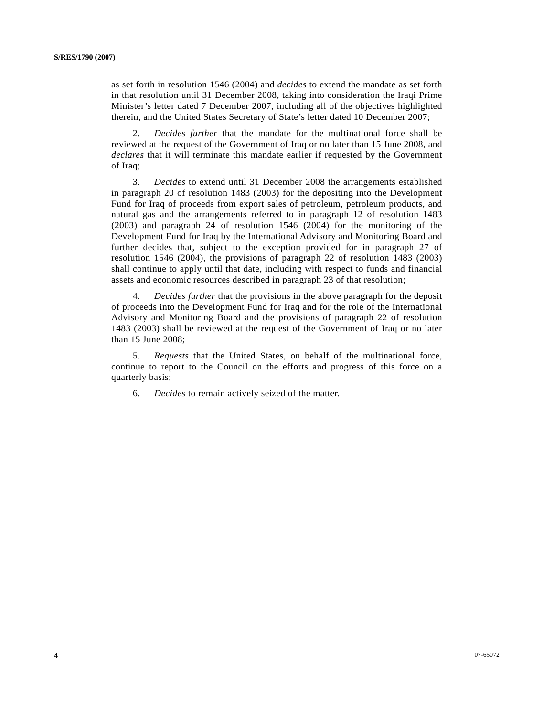as set forth in resolution 1546 (2004) and *decides* to extend the mandate as set forth in that resolution until 31 December 2008, taking into consideration the Iraqi Prime Minister's letter dated 7 December 2007, including all of the objectives highlighted therein, and the United States Secretary of State's letter dated 10 December 2007;

 2. *Decides further* that the mandate for the multinational force shall be reviewed at the request of the Government of Iraq or no later than 15 June 2008, and *declares* that it will terminate this mandate earlier if requested by the Government of Iraq;

 3. *Decides* to extend until 31 December 2008 the arrangements established in paragraph 20 of resolution 1483 (2003) for the depositing into the Development Fund for Iraq of proceeds from export sales of petroleum, petroleum products, and natural gas and the arrangements referred to in paragraph 12 of resolution 1483 (2003) and paragraph 24 of resolution 1546 (2004) for the monitoring of the Development Fund for Iraq by the International Advisory and Monitoring Board and further decides that, subject to the exception provided for in paragraph 27 of resolution 1546 (2004), the provisions of paragraph 22 of resolution 1483 (2003) shall continue to apply until that date, including with respect to funds and financial assets and economic resources described in paragraph 23 of that resolution;

 4. *Decides further* that the provisions in the above paragraph for the deposit of proceeds into the Development Fund for Iraq and for the role of the International Advisory and Monitoring Board and the provisions of paragraph 22 of resolution 1483 (2003) shall be reviewed at the request of the Government of Iraq or no later than 15 June 2008;

 5. *Requests* that the United States, on behalf of the multinational force, continue to report to the Council on the efforts and progress of this force on a quarterly basis;

6. *Decides* to remain actively seized of the matter.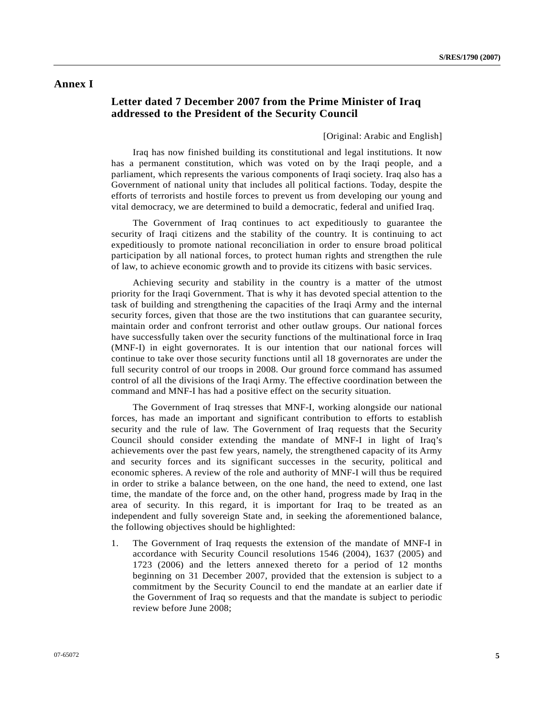### **Annex I**

## **Letter dated 7 December 2007 from the Prime Minister of Iraq addressed to the President of the Security Council**

[Original: Arabic and English]

 Iraq has now finished building its constitutional and legal institutions. It now has a permanent constitution, which was voted on by the Iraqi people, and a parliament, which represents the various components of Iraqi society. Iraq also has a Government of national unity that includes all political factions. Today, despite the efforts of terrorists and hostile forces to prevent us from developing our young and vital democracy, we are determined to build a democratic, federal and unified Iraq.

 The Government of Iraq continues to act expeditiously to guarantee the security of Iraqi citizens and the stability of the country. It is continuing to act expeditiously to promote national reconciliation in order to ensure broad political participation by all national forces, to protect human rights and strengthen the rule of law, to achieve economic growth and to provide its citizens with basic services.

 Achieving security and stability in the country is a matter of the utmost priority for the Iraqi Government. That is why it has devoted special attention to the task of building and strengthening the capacities of the Iraqi Army and the internal security forces, given that those are the two institutions that can guarantee security, maintain order and confront terrorist and other outlaw groups. Our national forces have successfully taken over the security functions of the multinational force in Iraq (MNF-I) in eight governorates. It is our intention that our national forces will continue to take over those security functions until all 18 governorates are under the full security control of our troops in 2008. Our ground force command has assumed control of all the divisions of the Iraqi Army. The effective coordination between the command and MNF-I has had a positive effect on the security situation.

 The Government of Iraq stresses that MNF-I, working alongside our national forces, has made an important and significant contribution to efforts to establish security and the rule of law. The Government of Iraq requests that the Security Council should consider extending the mandate of MNF-I in light of Iraq's achievements over the past few years, namely, the strengthened capacity of its Army and security forces and its significant successes in the security, political and economic spheres. A review of the role and authority of MNF-I will thus be required in order to strike a balance between, on the one hand, the need to extend, one last time, the mandate of the force and, on the other hand, progress made by Iraq in the area of security. In this regard, it is important for Iraq to be treated as an independent and fully sovereign State and, in seeking the aforementioned balance, the following objectives should be highlighted:

1. The Government of Iraq requests the extension of the mandate of MNF-I in accordance with Security Council resolutions 1546 (2004), 1637 (2005) and 1723 (2006) and the letters annexed thereto for a period of 12 months beginning on 31 December 2007, provided that the extension is subject to a commitment by the Security Council to end the mandate at an earlier date if the Government of Iraq so requests and that the mandate is subject to periodic review before June 2008;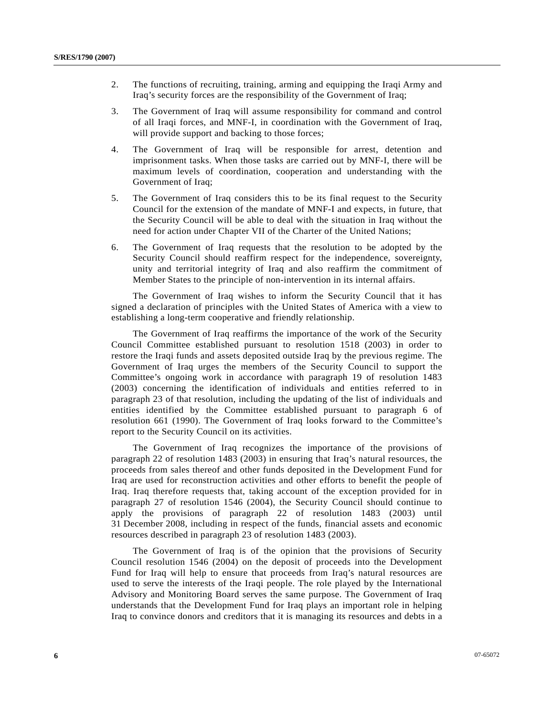- 2. The functions of recruiting, training, arming and equipping the Iraqi Army and Iraq's security forces are the responsibility of the Government of Iraq;
- 3. The Government of Iraq will assume responsibility for command and control of all Iraqi forces, and MNF-I, in coordination with the Government of Iraq, will provide support and backing to those forces;
- 4. The Government of Iraq will be responsible for arrest, detention and imprisonment tasks. When those tasks are carried out by MNF-I, there will be maximum levels of coordination, cooperation and understanding with the Government of Iraq;
- 5. The Government of Iraq considers this to be its final request to the Security Council for the extension of the mandate of MNF-I and expects, in future, that the Security Council will be able to deal with the situation in Iraq without the need for action under Chapter VII of the Charter of the United Nations;
- 6. The Government of Iraq requests that the resolution to be adopted by the Security Council should reaffirm respect for the independence, sovereignty, unity and territorial integrity of Iraq and also reaffirm the commitment of Member States to the principle of non-intervention in its internal affairs.

 The Government of Iraq wishes to inform the Security Council that it has signed a declaration of principles with the United States of America with a view to establishing a long-term cooperative and friendly relationship.

 The Government of Iraq reaffirms the importance of the work of the Security Council Committee established pursuant to resolution 1518 (2003) in order to restore the Iraqi funds and assets deposited outside Iraq by the previous regime. The Government of Iraq urges the members of the Security Council to support the Committee's ongoing work in accordance with paragraph 19 of resolution 1483 (2003) concerning the identification of individuals and entities referred to in paragraph 23 of that resolution, including the updating of the list of individuals and entities identified by the Committee established pursuant to paragraph 6 of resolution 661 (1990). The Government of Iraq looks forward to the Committee's report to the Security Council on its activities.

 The Government of Iraq recognizes the importance of the provisions of paragraph 22 of resolution 1483 (2003) in ensuring that Iraq's natural resources, the proceeds from sales thereof and other funds deposited in the Development Fund for Iraq are used for reconstruction activities and other efforts to benefit the people of Iraq. Iraq therefore requests that, taking account of the exception provided for in paragraph 27 of resolution 1546 (2004), the Security Council should continue to apply the provisions of paragraph 22 of resolution 1483 (2003) until 31 December 2008, including in respect of the funds, financial assets and economic resources described in paragraph 23 of resolution 1483 (2003).

 The Government of Iraq is of the opinion that the provisions of Security Council resolution 1546 (2004) on the deposit of proceeds into the Development Fund for Iraq will help to ensure that proceeds from Iraq's natural resources are used to serve the interests of the Iraqi people. The role played by the International Advisory and Monitoring Board serves the same purpose. The Government of Iraq understands that the Development Fund for Iraq plays an important role in helping Iraq to convince donors and creditors that it is managing its resources and debts in a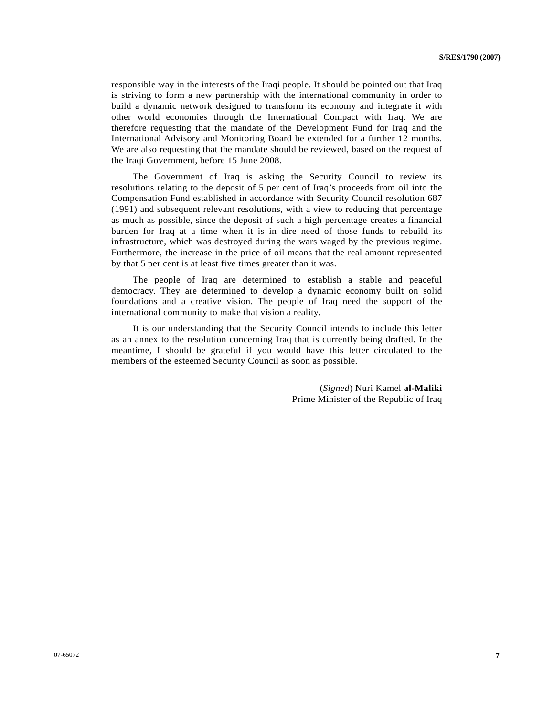responsible way in the interests of the Iraqi people. It should be pointed out that Iraq is striving to form a new partnership with the international community in order to build a dynamic network designed to transform its economy and integrate it with other world economies through the International Compact with Iraq. We are therefore requesting that the mandate of the Development Fund for Iraq and the International Advisory and Monitoring Board be extended for a further 12 months. We are also requesting that the mandate should be reviewed, based on the request of the Iraqi Government, before 15 June 2008.

 The Government of Iraq is asking the Security Council to review its resolutions relating to the deposit of 5 per cent of Iraq's proceeds from oil into the Compensation Fund established in accordance with Security Council resolution 687 (1991) and subsequent relevant resolutions, with a view to reducing that percentage as much as possible, since the deposit of such a high percentage creates a financial burden for Iraq at a time when it is in dire need of those funds to rebuild its infrastructure, which was destroyed during the wars waged by the previous regime. Furthermore, the increase in the price of oil means that the real amount represented by that 5 per cent is at least five times greater than it was.

 The people of Iraq are determined to establish a stable and peaceful democracy. They are determined to develop a dynamic economy built on solid foundations and a creative vision. The people of Iraq need the support of the international community to make that vision a reality.

 It is our understanding that the Security Council intends to include this letter as an annex to the resolution concerning Iraq that is currently being drafted. In the meantime, I should be grateful if you would have this letter circulated to the members of the esteemed Security Council as soon as possible.

> (*Signed*) Nuri Kamel **al-Maliki** Prime Minister of the Republic of Iraq